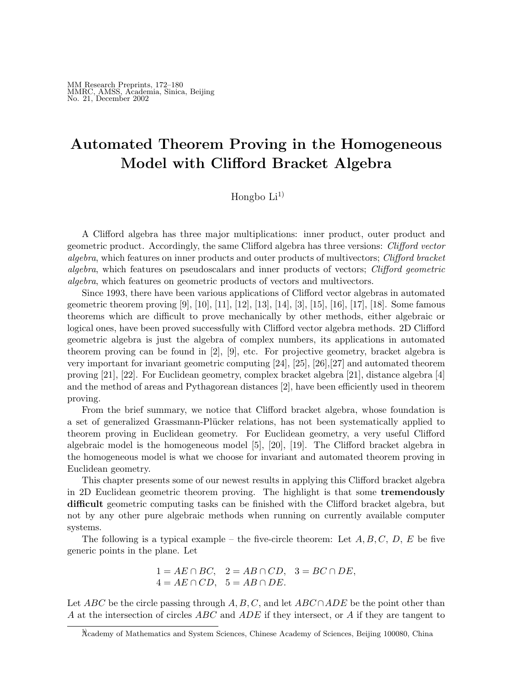# Automated Theorem Proving in the Homogeneous Model with Clifford Bracket Algebra

Hongbo  $Li<sup>1</sup>$ 

A Clifford algebra has three major multiplications: inner product, outer product and geometric product. Accordingly, the same Clifford algebra has three versions: Clifford vector algebra, which features on inner products and outer products of multivectors; Clifford bracket algebra, which features on pseudoscalars and inner products of vectors; Clifford geometric algebra, which features on geometric products of vectors and multivectors.

Since 1993, there have been various applications of Clifford vector algebras in automated geometric theorem proving [9], [10], [11], [12], [13], [14], [3], [15], [16], [17], [18]. Some famous theorems which are difficult to prove mechanically by other methods, either algebraic or logical ones, have been proved successfully with Clifford vector algebra methods. 2D Clifford geometric algebra is just the algebra of complex numbers, its applications in automated theorem proving can be found in [2], [9], etc. For projective geometry, bracket algebra is very important for invariant geometric computing [24], [25], [26],[27] and automated theorem proving [21], [22]. For Euclidean geometry, complex bracket algebra [21], distance algebra [4] and the method of areas and Pythagorean distances [2], have been efficiently used in theorem proving.

From the brief summary, we notice that Clifford bracket algebra, whose foundation is a set of generalized Grassmann-Plücker relations, has not been systematically applied to theorem proving in Euclidean geometry. For Euclidean geometry, a very useful Clifford algebraic model is the homogeneous model [5], [20], [19]. The Clifford bracket algebra in the homogeneous model is what we choose for invariant and automated theorem proving in Euclidean geometry.

This chapter presents some of our newest results in applying this Clifford bracket algebra in 2D Euclidean geometric theorem proving. The highlight is that some tremendously difficult geometric computing tasks can be finished with the Clifford bracket algebra, but not by any other pure algebraic methods when running on currently available computer systems.

The following is a typical example – the five-circle theorem: Let  $A, B, C, D, E$  be five generic points in the plane. Let

$$
1 = AE \cap BC, \quad 2 = AB \cap CD, \quad 3 = BC \cap DE,
$$
  

$$
4 = AE \cap CD, \quad 5 = AB \cap DE.
$$

Let ABC be the circle passing through A, B, C, and let ABC ∩ADE be the point other than A at the intersection of circles  $ABC$  and  $ADE$  if they intersect, or A if they are tangent to

<sup>1)</sup>Academy of Mathematics and System Sciences, Chinese Academy of Sciences, Beijing 100080, China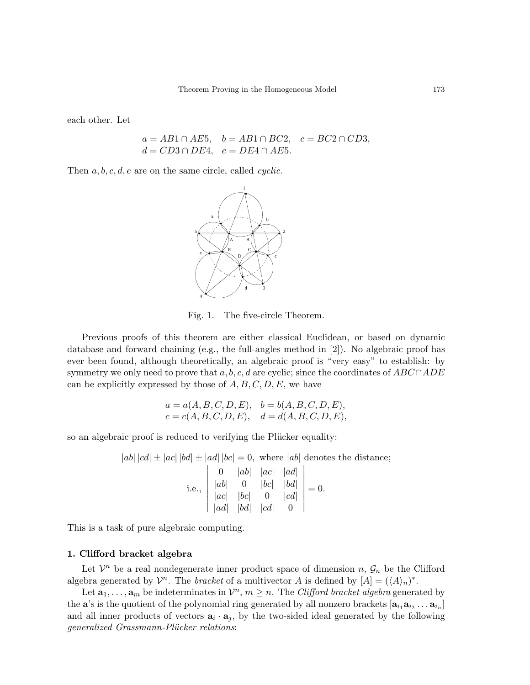each other. Let

$$
a = AB1 \cap AE5, \quad b = AB1 \cap BC2, \quad c = BC2 \cap CD3, d = CD3 \cap DE4, \quad e = DE4 \cap AE5.
$$

Then  $a, b, c, d, e$  are on the same circle, called *cyclic*.



Fig. 1. The five-circle Theorem.

Previous proofs of this theorem are either classical Euclidean, or based on dynamic database and forward chaining (e.g., the full-angles method in [2]). No algebraic proof has ever been found, although theoretically, an algebraic proof is "very easy" to establish: by symmetry we only need to prove that a, b, c, d are cyclic; since the coordinates of  $ABC \cap ADE$ can be explicitly expressed by those of  $A, B, C, D, E$ , we have

$$
a = a(A, B, C, D, E), \quad b = b(A, B, C, D, E),
$$
  

$$
c = c(A, B, C, D, E), \quad d = d(A, B, C, D, E),
$$

so an algebraic proof is reduced to verifying the Plücker equality:

$$
|ab| |cd| \pm |ac| |bd| \pm |ad| |bc| = 0, \text{ where } |ab| \text{ denotes the distance;}
$$
  
\ni.e., 
$$
\begin{vmatrix} 0 & |ab| & |ac| & |ad| \\ |ab| & 0 & |bc| & |bd| \\ |ac| & |bc| & 0 & |cd| \\ |ad| & |bd| & |cd| & 0 \end{vmatrix} = 0.
$$

This is a task of pure algebraic computing.

### 1. Clifford bracket algebra

Let  $\mathcal{V}^n$  be a real nondegenerate inner product space of dimension n,  $\mathcal{G}_n$  be the Clifford algebra generated by  $\mathcal{V}^n$ . The *bracket* of a multivector A is defined by  $[A] = (\langle A \rangle_n)^*$ .

Let  $\mathbf{a}_1, \ldots, \mathbf{a}_m$  be indeterminates in  $\mathcal{V}^n$ ,  $m \geq n$ . The *Clifford bracket algebra* generated by the **a**'s is the quotient of the polynomial ring generated by all nonzero brackets  $[\mathbf{a}_{i_1} \mathbf{a}_{i_2} \dots \mathbf{a}_{i_n}]$ and all inner products of vectors  $\mathbf{a}_i \cdot \mathbf{a}_j$ , by the two-sided ideal generated by the following generalized Grassmann-Plücker relations: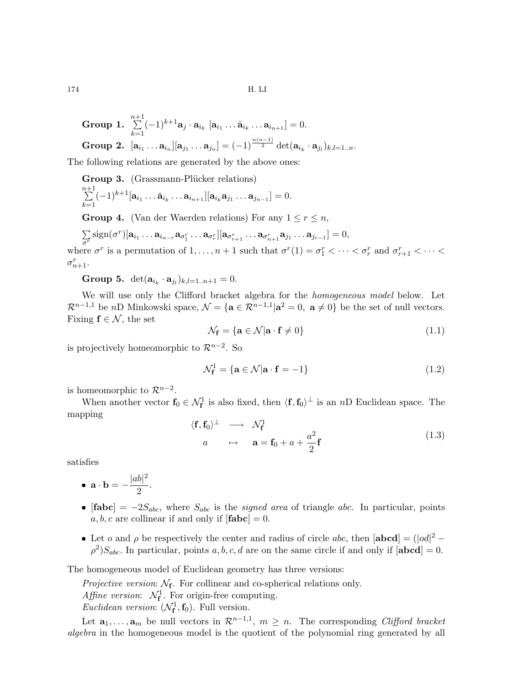174 H. LI

Group 1. 
$$
\sum_{k=1}^{n+1} (-1)^{k+1} \mathbf{a}_j \cdot \mathbf{a}_{i_k} [\mathbf{a}_{i_1} \dots \check{\mathbf{a}}_{i_k} \dots \mathbf{a}_{i_{n+1}}] = 0.
$$
  
Group 2.  $[\mathbf{a}_{i_1} \dots \mathbf{a}_{i_n}][\mathbf{a}_{j_1} \dots \mathbf{a}_{j_n}] = (-1)^{\frac{n(n-1)}{2}} \det(\mathbf{a}_{i_k} \cdot \mathbf{a}_{j_l})_{k,l=1..n}.$ 

The following relations are generated by the above ones:

Group 3. (Grassmann-Plücker relations)

$$
\sum_{k=1}^{n+1}(-1)^{k+1}[\mathbf{a}_{i_1}\ldots\mathbf{a}_{i_k}\ldots\mathbf{a}_{i_{n+1}}][\mathbf{a}_{i_k}\mathbf{a}_{j_1}\ldots\mathbf{a}_{j_{n-1}}]=0.
$$

**Group 4.** (Van der Waerden relations) For any  $1 \leq r \leq n$ ,

 $\overline{ }$  $\overline{\sigma^r}$  $\text{sign}(\sigma^r)[\mathbf{a}_{i_1}\ldots \mathbf{a}_{i_{n-r}}\mathbf{a}_{\sigma_1^r}\ldots \mathbf{a}_{\sigma_r^r}][\mathbf{a}_{\sigma_{r+1}^r}\ldots \mathbf{a}_{\sigma_{n+1}^r}\mathbf{a}_{j_1}\ldots \mathbf{a}_{j_{r-1}}]=0,$ 

where  $\sigma^r$  is a permutation of  $1, \ldots, n+1$  such that  $\sigma^r(1) = \sigma_1^r < \cdots < \sigma_r^r$  and  $\sigma_{r+1}^r < \cdots <$  $\sigma_{n+1}^r$ .

**Group 5.**  $det(\mathbf{a}_{i_k} \cdot \mathbf{a}_{j_l})_{k,l=1..n+1} = 0.$ 

We will use only the Clifford bracket algebra for the homogeneous model below. Let  $\mathcal{R}^{n-1,1}$  be nD Minkowski space,  $\mathcal{N} = {\mathbf{a} \in \mathcal{R}^{n-1,1} | \mathbf{a}^2 = 0, \mathbf{a} \neq 0}$  be the set of null vectors. Fixing  $f \in \mathcal{N}$ , the set

$$
\mathcal{N}_{\mathbf{f}} = \{ \mathbf{a} \in \mathcal{N} | \mathbf{a} \cdot \mathbf{f} \neq 0 \}
$$
\n(1.1)

is projectively homeomorphic to  $\mathcal{R}^{n-2}$ . So

$$
\mathcal{N}_{\mathbf{f}}^1 = \{ \mathbf{a} \in \mathcal{N} | \mathbf{a} \cdot \mathbf{f} = -1 \}
$$
\n(1.2)

is homeomorphic to  $\mathcal{R}^{n-2}$ .

When another vector  $f_0 \in \mathcal{N}_f^1$  is also fixed, then  $\langle f, f_0 \rangle^{\perp}$  is an nD Euclidean space. The mapping

$$
\langle \mathbf{f}, \mathbf{f}_0 \rangle^{\perp} \longrightarrow \mathcal{N}_{\mathbf{f}}^1
$$
\n
$$
a \longrightarrow \mathbf{a} = \mathbf{f}_0 + a + \frac{a^2}{2} \mathbf{f}
$$
\n(1.3)

satisfies

• 
$$
\mathbf{a} \cdot \mathbf{b} = -\frac{|ab|^2}{2}
$$
.

- $[\text{fabc}] = -2S_{abc}$ , where  $S_{abc}$  is the *signed area* of triangle *abc*. In particular, points  $a, b, c$  are collinear if and only if  $[\textbf{fabc}] = 0$ .
- Let o and  $\rho$  be respectively the center and radius of circle abc, then  $|\textbf{abcd}| = (|\textit{od}|^2 \rho^2)S_{abc}$ . In particular, points a, b, c, d are on the same circle if and only if  $[\textbf{abcd}] = 0$ .

The homogeneous model of Euclidean geometry has three versions:

Projective version:  $\mathcal{N}_{f}$ . For collinear and co-spherical relations only.

Affine version:  $\mathcal{N}_{\mathbf{f}}^1$ . For origin-free computing.

*Euclidean version*:  $(\mathcal{N}_{\mathbf{f}}^1, \mathbf{f}_0)$ . Full version.

Let  $\mathbf{a}_1, \ldots, \mathbf{a}_m$  be null vectors in  $\mathcal{R}^{n-1,1}, m \geq n$ . The corresponding Clifford bracket algebra in the homogeneous model is the quotient of the polynomial ring generated by all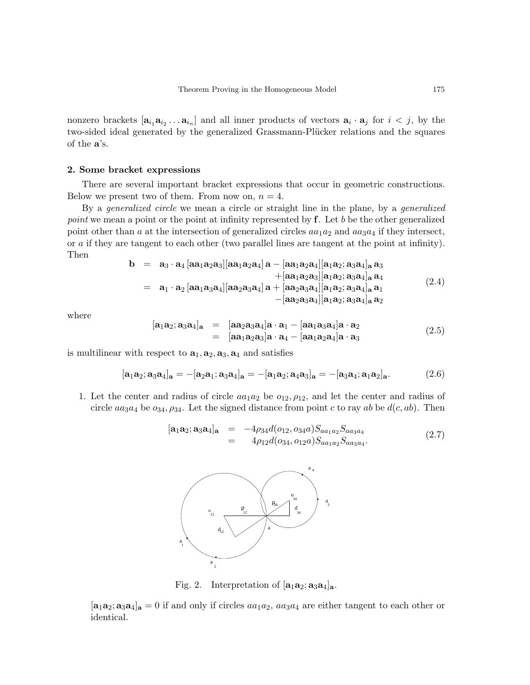nonzero brackets  $[\mathbf{a}_{i_1} \mathbf{a}_{i_2} \dots \mathbf{a}_{i_n}]$  and all inner products of vectors  $\mathbf{a}_i \cdot \mathbf{a}_j$  for  $i < j$ , by the two-sided ideal generated by the generalized Grassmann-Plücker relations and the squares of the a's.

#### 2. Some bracket expressions

There are several important bracket expressions that occur in geometric constructions. Below we present two of them. From now on,  $n = 4$ .

By a *generalized circle* we mean a circle or straight line in the plane, by a *generalized* point we mean a point or the point at infinity represented by  $f$ . Let b be the other generalized point other than a at the intersection of generalized circles  $aa_1a_2$  and  $aa_3a_4$  if they intersect, or a if they are tangent to each other (two parallel lines are tangent at the point at infinity). Then

$$
b = a_3 \cdot a_4 [aa_1a_2a_3][aa_1a_2a_4]a - [aa_1a_2a_4][a_1a_2; a_3a_4]_a a_3 + [aa_1a_2a_3][a_1a_2; a_3a_4]_a a_4 = a_1 \cdot a_2 [aa_1a_3a_4][aa_2a_3a_4]a + [aa_2a_3a_4][a_1a_2; a_3a_4]_a a_1 - [aa_2a_3a_4][a_1a_2; a_3a_4]_a a_2
$$
\n(2.4)

where

$$
[\mathbf{a}_1 \mathbf{a}_2; \mathbf{a}_3 \mathbf{a}_4]_{\mathbf{a}} = [\mathbf{a} \mathbf{a}_2 \mathbf{a}_3 \mathbf{a}_4] \mathbf{a} \cdot \mathbf{a}_1 - [\mathbf{a} \mathbf{a}_1 \mathbf{a}_3 \mathbf{a}_4] \mathbf{a} \cdot \mathbf{a}_2
$$
  
=  $[\mathbf{a} \mathbf{a}_1 \mathbf{a}_2 \mathbf{a}_3] \mathbf{a} \cdot \mathbf{a}_4 - [\mathbf{a} \mathbf{a}_1 \mathbf{a}_2 \mathbf{a}_4] \mathbf{a} \cdot \mathbf{a}_3$  (2.5)

is multilinear with respect to  $a_1, a_2, a_3, a_4$  and satisfies

$$
[\mathbf{a}_1 \mathbf{a}_2; \mathbf{a}_3 \mathbf{a}_4]_{\mathbf{a}} = -[\mathbf{a}_2 \mathbf{a}_1; \mathbf{a}_3 \mathbf{a}_4]_{\mathbf{a}} = -[\mathbf{a}_1 \mathbf{a}_2; \mathbf{a}_4 \mathbf{a}_3]_{\mathbf{a}} = -[\mathbf{a}_3 \mathbf{a}_4; \mathbf{a}_1 \mathbf{a}_2]_{\mathbf{a}}.\tag{2.6}
$$

1. Let the center and radius of circle  $aa_1a_2$  be  $o_{12}, \rho_{12}$ , and let the center and radius of circle  $aa_3a_4$  be  $o_{34}, o_{34}$ . Let the signed distance from point c to ray ab be  $d(c, ab)$ . Then

$$
[\mathbf{a}_1 \mathbf{a}_2; \mathbf{a}_3 \mathbf{a}_4]_{\mathbf{a}} = -4\rho_{34}d(o_{12}, o_{34}a)S_{aa_1a_2}S_{aa_3a_4}
$$
  
=  $4\rho_{12}d(o_{34}, o_{12}a)S_{aa_1a_2}S_{aa_3a_4}.$  (2.7)



Fig. 2. Interpretation of  $[a_1a_2; a_3a_4]_a$ .

 $[a_1a_2; a_3a_4]_a = 0$  if and only if circles  $aa_1a_2$ ,  $aa_3a_4$  are either tangent to each other or identical.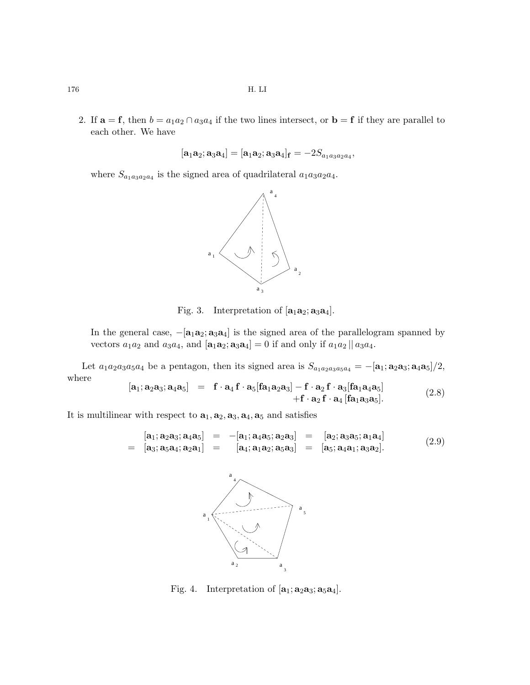2. If  $\mathbf{a} = \mathbf{f}$ , then  $b = a_1 a_2 \cap a_3 a_4$  if the two lines intersect, or  $\mathbf{b} = \mathbf{f}$  if they are parallel to each other. We have

$$
[\mathbf{a}_1\mathbf{a}_2;\mathbf{a}_3\mathbf{a}_4] = [\mathbf{a}_1\mathbf{a}_2;\mathbf{a}_3\mathbf{a}_4]_\mathbf{f} = -2S_{a_1a_3a_2a_4},
$$

where  $S_{a_1a_3a_2a_4}$  is the signed area of quadrilateral  $a_1a_3a_2a_4$ .



Fig. 3. Interpretation of  $[a_1a_2; a_3a_4]$ .

In the general case,  $-[a_1a_2; a_3a_4]$  is the signed area of the parallelogram spanned by vectors  $a_1a_2$  and  $a_3a_4$ , and  $[\mathbf{a}_1\mathbf{a}_2;\mathbf{a}_3\mathbf{a}_4] = 0$  if and only if  $a_1a_2 || a_3a_4$ .

Let  $a_1a_2a_3a_5a_4$  be a pentagon, then its signed area is  $S_{a_1a_2a_3a_5a_4} = -[\mathbf{a}_1;\mathbf{a}_2\mathbf{a}_3;\mathbf{a}_4\mathbf{a}_5]/2$ , where

$$
[\mathbf{a}_1; \mathbf{a}_2 \mathbf{a}_3; \mathbf{a}_4 \mathbf{a}_5] = \mathbf{f} \cdot \mathbf{a}_4 \mathbf{f} \cdot \mathbf{a}_5 [\mathbf{f} \mathbf{a}_1 \mathbf{a}_2 \mathbf{a}_3] - \mathbf{f} \cdot \mathbf{a}_2 \mathbf{f} \cdot \mathbf{a}_3 [\mathbf{f} \mathbf{a}_1 \mathbf{a}_4 \mathbf{a}_5] + \mathbf{f} \cdot \mathbf{a}_2 \mathbf{f} \cdot \mathbf{a}_4 [\mathbf{f} \mathbf{a}_1 \mathbf{a}_3 \mathbf{a}_5].
$$
 (2.8)

It is multilinear with respect to  $\mathbf{a}_1, \mathbf{a}_2, \mathbf{a}_3, \mathbf{a}_4, \mathbf{a}_5$  and satisfies

$$
[\mathbf{a}_1; \mathbf{a}_2 \mathbf{a}_3; \mathbf{a}_4 \mathbf{a}_5] = -[\mathbf{a}_1; \mathbf{a}_4 \mathbf{a}_5; \mathbf{a}_2 \mathbf{a}_3] = [\mathbf{a}_2; \mathbf{a}_3 \mathbf{a}_5; \mathbf{a}_1 \mathbf{a}_4] = [\mathbf{a}_3; \mathbf{a}_5 \mathbf{a}_4; \mathbf{a}_2 \mathbf{a}_1] = [\mathbf{a}_4; \mathbf{a}_1 \mathbf{a}_2; \mathbf{a}_5 \mathbf{a}_3] = [\mathbf{a}_5; \mathbf{a}_4 \mathbf{a}_1; \mathbf{a}_3 \mathbf{a}_2].
$$
 (2.9)



Fig. 4. Interpretation of  $[a_1; a_2a_3; a_5a_4]$ .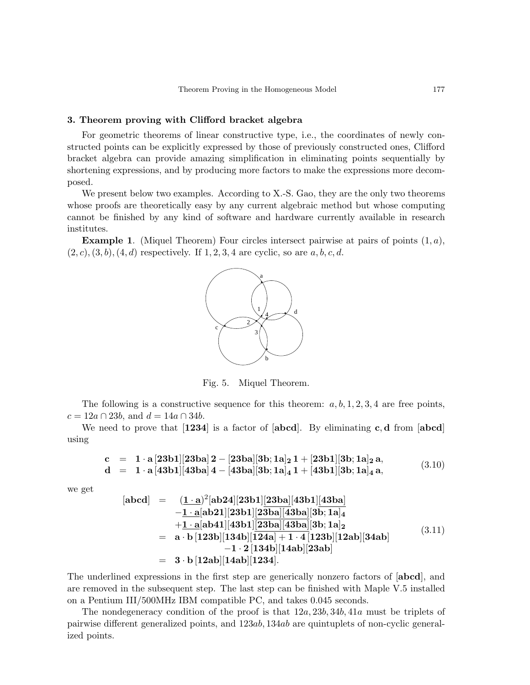## 3. Theorem proving with Clifford bracket algebra

For geometric theorems of linear constructive type, i.e., the coordinates of newly constructed points can be explicitly expressed by those of previously constructed ones, Clifford bracket algebra can provide amazing simplification in eliminating points sequentially by shortening expressions, and by producing more factors to make the expressions more decomposed.

We present below two examples. According to X.-S. Gao, they are the only two theorems whose proofs are theoretically easy by any current algebraic method but whose computing cannot be finished by any kind of software and hardware currently available in research institutes.

**Example 1.** (Miquel Theorem) Four circles intersect pairwise at pairs of points  $(1, a)$ ,  $(2, c), (3, b), (4, d)$  respectively. If  $1, 2, 3, 4$  are cyclic, so are  $a, b, c, d$ .



Fig. 5. Miquel Theorem.

The following is a constructive sequence for this theorem:  $a, b, 1, 2, 3, 4$  are free points,  $c = 12a \cap 23b$ , and  $d = 14a \cap 34b$ .

We need to prove that  $\left[1234\right]$  is a factor of  $\left[abcd\right]$ . By eliminating c, d from  $\left[abcd\right]$ using

$$
c = 1 \cdot a [23b1][23ba] 2 - [23ba][3b; 1a]_2 1 + [23b1][3b; 1a]_2 a,d = 1 \cdot a [43b1][43ba] 4 - [43ba][3b; 1a]_4 1 + [43b1][3b; 1a]_4 a,
$$
 (3.10)

we get

$$
\begin{array}{lll}\n[\text{abcd}] & = & (\underline{1 \cdot a})^2[\text{ab24}][23\text{b1}][23\text{ba}][43\text{b1}][43\text{ba}] \\
& -\underline{1 \cdot a}[\text{ab21}][23\text{b1}][23\text{ba}][43\text{ba}][3\text{b};1a]_4 \\
& +\underline{1 \cdot a}[\text{ab41}][43\text{b1}][23\text{ba}][43\text{ba}][3\text{b};1a]_2 \\
& = & \text{a} \cdot \text{b}[123\text{b}][13\text{4b}][12\text{4a}] + 1 \cdot 4[123\text{b}][12\text{ab}][34\text{ab}] \\
& & -1 \cdot 2[134\text{b}][14\text{ab}][23\text{ab}] \n\end{array} \tag{3.11}
$$
\n
$$
= & 3 \cdot \text{b}[12\text{ab}][14\text{ab}][1234]. \tag{3.12}
$$

The underlined expressions in the first step are generically nonzero factors of [abcd], and are removed in the subsequent step. The last step can be finished with Maple V.5 installed on a Pentium III/500MHz IBM compatible PC, and takes 0.045 seconds.

The nondegeneracy condition of the proof is that  $12a, 23b, 34b, 41a$  must be triplets of pairwise different generalized points, and 123ab, 134ab are quintuplets of non-cyclic generalized points.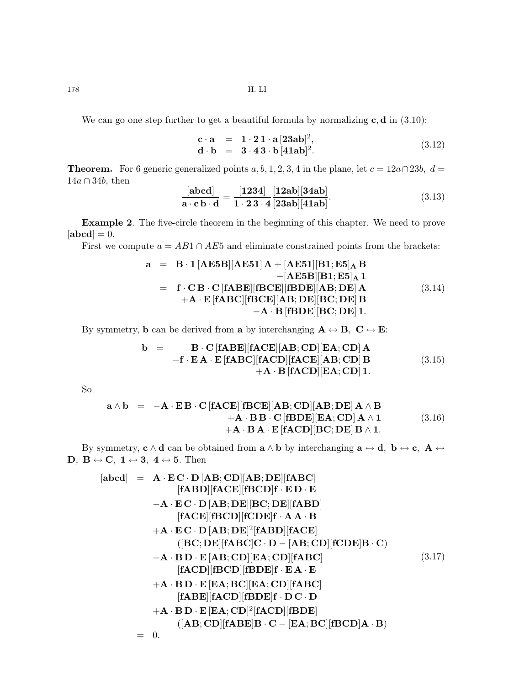178 H. LI

We can go one step further to get a beautiful formula by normalizing  $c, d$  in (3.10):

$$
\mathbf{c} \cdot \mathbf{a} = 1 \cdot 21 \cdot \mathbf{a} [23ab]^2,
$$
  
\n
$$
\mathbf{d} \cdot \mathbf{b} = 3 \cdot 43 \cdot \mathbf{b} [41ab]^2.
$$
\n(3.12)

**Theorem.** For 6 generic generalized points a, b, 1, 2, 3, 4 in the plane, let  $c = 12a \cap 23b$ ,  $d =$  $14a \cap 34b$ , then

$$
\frac{[\text{abcd}]}{\text{a} \cdot \text{c} \cdot \text{b} \cdot \text{d}} = \frac{[1234]}{1 \cdot 23 \cdot 4} \frac{[12 \text{ab}][34 \text{ab}]}{[23 \text{ab}][41 \text{ab}]}. \tag{3.13}
$$

Example 2. The five-circle theorem in the beginning of this chapter. We need to prove  $[\text{abcd}] = 0.$ 

First we compute  $a = AB1 \cap AE5$  and eliminate constrained points from the brackets:

$$
a = B \cdot 1 [AE5B][AE51] A + [AE51][B1; E5]_A B
$$
  
\n
$$
- [AE5B][B1; E5]_A 1
$$
  
\n
$$
= f \cdot CB \cdot C [fABE][fBCE][fBDE][AB; DE] A
$$
  
\n
$$
+ A \cdot E [fABC][fBCE][AB; DE][BC; DE] B
$$
  
\n
$$
- A \cdot B [fBDE][BC; DE] 1.
$$
  
\n(3.14)

By symmetry, **b** can be derived from **a** by interchanging  $A \leftrightarrow B$ ,  $C \leftrightarrow E$ :

$$
\mathbf{b} = \mathbf{B} \cdot \mathbf{C} [\mathbf{f} \mathbf{A} \mathbf{B} \mathbf{E}] [\mathbf{f} \mathbf{A} \mathbf{C} \mathbf{E}] [\mathbf{A} \mathbf{B}; \mathbf{C} \mathbf{D}] [\mathbf{E} \mathbf{A}; \mathbf{C} \mathbf{D}] \mathbf{A}
$$
  
\n
$$
- \mathbf{f} \cdot \mathbf{E} \mathbf{A} \cdot \mathbf{E} [\mathbf{f} \mathbf{A} \mathbf{B} \mathbf{C}] [\mathbf{f} \mathbf{A} \mathbf{C} \mathbf{D}] [\mathbf{f} \mathbf{A} \mathbf{C} \mathbf{E}] [\mathbf{A} \mathbf{B}; \mathbf{C} \mathbf{D}] \mathbf{B}
$$
(3.15)  
\n
$$
+ \mathbf{A} \cdot \mathbf{B} [\mathbf{f} \mathbf{A} \mathbf{C} \mathbf{D}] [\mathbf{E} \mathbf{A}; \mathbf{C} \mathbf{D}] \mathbf{1}.
$$

So

$$
\mathbf{a} \wedge \mathbf{b} = -\mathbf{A} \cdot \mathbf{E} \mathbf{B} \cdot \mathbf{C} [\mathbf{f} \mathbf{A} \mathbf{C} \mathbf{E}] [\mathbf{f} \mathbf{B} \mathbf{C} \mathbf{E}] [\mathbf{A} \mathbf{B}; \mathbf{C} \mathbf{D}] [\mathbf{A} \mathbf{B}; \mathbf{D} \mathbf{E}] \mathbf{A} \wedge \mathbf{B} + \mathbf{A} \cdot \mathbf{B} \mathbf{B} \cdot \mathbf{C} [\mathbf{f} \mathbf{B} \mathbf{D} \mathbf{E}] [\mathbf{E} \mathbf{A}; \mathbf{C} \mathbf{D}] \mathbf{A} \wedge \mathbf{1} + \mathbf{A} \cdot \mathbf{B} \mathbf{A} \cdot \mathbf{E} [\mathbf{f} \mathbf{A} \mathbf{C} \mathbf{D}] [\mathbf{B} \mathbf{C}; \mathbf{D} \mathbf{E}] \mathbf{B} \wedge \mathbf{1}.
$$
 (3.16)

By symmetry,  $c \wedge d$  can be obtained from  $a \wedge b$  by interchanging  $a \leftrightarrow d$ ,  $b \leftrightarrow c$ ,  $A \leftrightarrow d$ D,  $B \leftrightarrow C$ ,  $1 \leftrightarrow 3$ ,  $4 \leftrightarrow 5$ . Then

$$
[\text{abcd}] = \mathbf{A} \cdot \mathbf{E} \mathbf{C} \cdot \mathbf{D} [\mathbf{AB}; \mathbf{CD}][\mathbf{AB}; \mathbf{DE}][\mathbf{fABC}]
$$
\n
$$
[\text{fABD}][\text{fACE}][\text{fBCD}] \mathbf{f} \cdot \mathbf{E} \mathbf{D} \cdot \mathbf{E}
$$
\n
$$
-\mathbf{A} \cdot \mathbf{E} \mathbf{C} \cdot \mathbf{D} [\mathbf{AB}; \mathbf{DE}][\mathbf{BC}; \mathbf{DE}][\mathbf{fABD}]
$$
\n
$$
[\text{fACE}][\mathbf{fBCD}][\mathbf{fCDE}] \mathbf{f} \cdot \mathbf{A} \mathbf{A} \cdot \mathbf{B}
$$
\n
$$
+\mathbf{A} \cdot \mathbf{E} \mathbf{C} \cdot \mathbf{D} [\mathbf{AB}; \mathbf{DE}]^{2} [\mathbf{fABD}][\mathbf{fACE}]
$$
\n
$$
([\mathbf{BC}; \mathbf{DE}][\mathbf{fABC}] \mathbf{C} \cdot \mathbf{D} - [\mathbf{AB}; \mathbf{CD}][\mathbf{fCDE}] \mathbf{B} \cdot \mathbf{C})
$$
\n
$$
-\mathbf{A} \cdot \mathbf{B} \mathbf{D} \cdot \mathbf{E} [\mathbf{AB}; \mathbf{CD}][\mathbf{EA}; \mathbf{CD}][\mathbf{fABC}]
$$
\n
$$
[\mathbf{fACD}][\mathbf{fBCD}][\mathbf{fBDE}] \mathbf{f} \cdot \mathbf{E} \mathbf{A} \cdot \mathbf{E}
$$
\n
$$
+\mathbf{A} \cdot \mathbf{B} \mathbf{D} \cdot \mathbf{E} [\mathbf{EA}; \mathbf{BC}][\mathbf{EA}; \mathbf{CD}][\mathbf{fABC}]
$$
\n
$$
[\mathbf{fABE}][\mathbf{fACD}][\mathbf{fBDE}] \mathbf{f} \cdot \mathbf{D} \mathbf{C} \cdot \mathbf{D}
$$
\n
$$
+\mathbf{A} \cdot \mathbf{B} \mathbf{D} \cdot \mathbf{E} [\mathbf{EA}; \mathbf{CD}]^{2} [\mathbf{fACD}][\mathbf{fBDE}]
$$
\n<math display="</math>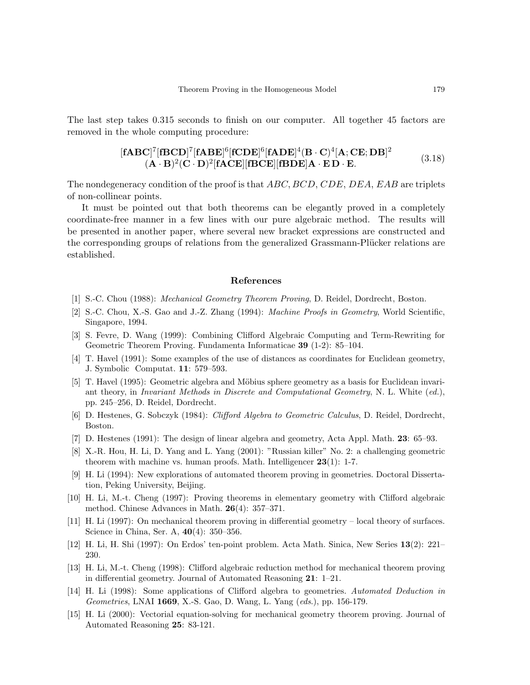The last step takes 0.315 seconds to finish on our computer. All together 45 factors are removed in the whole computing procedure:

$$
[\mathbf{fABC}]^{7}[\mathbf{fBCD}]^{7}[\mathbf{fABE}]^{6}[\mathbf{fCDE}]^{6}[\mathbf{fADE}]^{4}(\mathbf{B}\cdot\mathbf{C})^{4}[\mathbf{A};\mathbf{CE};\mathbf{DB}]^{2}
$$
  

$$
(\mathbf{A}\cdot\mathbf{B})^{2}(\mathbf{C}\cdot\mathbf{D})^{2}[\mathbf{fACE}][\mathbf{fBCE}][\mathbf{fBDE}]\mathbf{A}\cdot\mathbf{ED}\cdot\mathbf{E}.
$$
 (3.18)

The nondegeneracy condition of the proof is that ABC, BCD, CDE, DEA, EAB are triplets of non-collinear points.

It must be pointed out that both theorems can be elegantly proved in a completely coordinate-free manner in a few lines with our pure algebraic method. The results will be presented in another paper, where several new bracket expressions are constructed and the corresponding groups of relations from the generalized Grassmann-Plücker relations are established.

#### References

- [1] S.-C. Chou (1988): Mechanical Geometry Theorem Proving, D. Reidel, Dordrecht, Boston.
- [2] S.-C. Chou, X.-S. Gao and J.-Z. Zhang (1994): Machine Proofs in Geometry, World Scientific, Singapore, 1994.
- [3] S. Fevre, D. Wang (1999): Combining Clifford Algebraic Computing and Term-Rewriting for Geometric Theorem Proving. Fundamenta Informaticae 39 (1-2): 85–104.
- [4] T. Havel (1991): Some examples of the use of distances as coordinates for Euclidean geometry, J. Symbolic Computat. 11: 579–593.
- [5] T. Havel (1995): Geometric algebra and Möbius sphere geometry as a basis for Euclidean invariant theory, in Invariant Methods in Discrete and Computational Geometry, N. L. White (ed.), pp. 245–256, D. Reidel, Dordrecht.
- [6] D. Hestenes, G. Sobczyk (1984): Clifford Algebra to Geometric Calculus, D. Reidel, Dordrecht, Boston.
- [7] D. Hestenes (1991): The design of linear algebra and geometry, Acta Appl. Math. 23: 65–93.
- [8] X.-R. Hou, H. Li, D. Yang and L. Yang (2001): "Russian killer" No. 2: a challenging geometric theorem with machine vs. human proofs. Math. Intelligencer 23(1): 1-7.
- [9] H. Li (1994): New explorations of automated theorem proving in geometries. Doctoral Dissertation, Peking University, Beijing.
- [10] H. Li, M.-t. Cheng (1997): Proving theorems in elementary geometry with Clifford algebraic method. Chinese Advances in Math. 26(4): 357–371.
- [11] H. Li (1997): On mechanical theorem proving in differential geometry local theory of surfaces. Science in China, Ser. A, 40(4): 350–356.
- [12] H. Li, H. Shi (1997): On Erdos' ten-point problem. Acta Math. Sinica, New Series 13(2): 221– 230.
- [13] H. Li, M.-t. Cheng (1998): Clifford algebraic reduction method for mechanical theorem proving in differential geometry. Journal of Automated Reasoning 21: 1–21.
- [14] H. Li (1998): Some applications of Clifford algebra to geometries. Automated Deduction in Geometries, LNAI 1669, X.-S. Gao, D. Wang, L. Yang (eds.), pp. 156-179.
- [15] H. Li (2000): Vectorial equation-solving for mechanical geometry theorem proving. Journal of Automated Reasoning 25: 83-121.